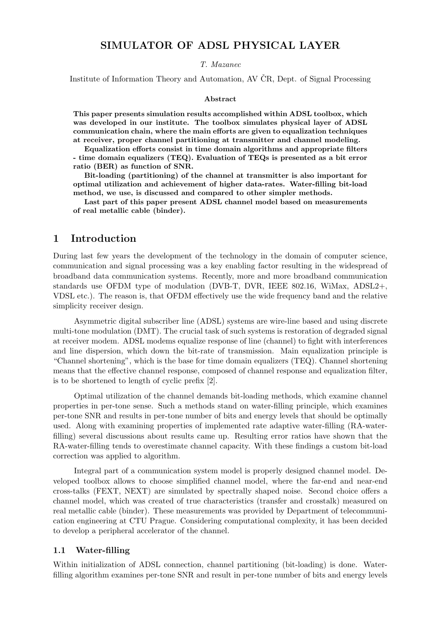## SIMULATOR OF ADSL PHYSICAL LAYER

T. Mazanec

Institute of Information Theory and Automation, AV ČR, Dept. of Signal Processing

#### Abstract

This paper presents simulation results accomplished within ADSL toolbox, which was developed in our institute. The toolbox simulates physical layer of ADSL communication chain, where the main efforts are given to equalization techniques at receiver, proper channel partitioning at transmitter and channel modeling.

Equalization efforts consist in time domain algorithms and appropriate filters - time domain equalizers (TEQ). Evaluation of TEQs is presented as a bit error ratio (BER) as function of SNR.

Bit-loading (partitioning) of the channel at transmitter is also important for optimal utilization and achievement of higher data-rates. Water-filling bit-load method, we use, is discussed and compared to other simpler methods.

Last part of this paper present ADSL channel model based on measurements of real metallic cable (binder).

#### 1 Introduction

During last few years the development of the technology in the domain of computer science, communication and signal processing was a key enabling factor resulting in the widespread of broadband data communication systems. Recently, more and more broadband communication standards use OFDM type of modulation (DVB-T, DVR, IEEE 802.16, WiMax, ADSL2+, VDSL etc.). The reason is, that OFDM effectively use the wide frequency band and the relative simplicity receiver design.

Asymmetric digital subscriber line (ADSL) systems are wire-line based and using discrete multi-tone modulation (DMT). The crucial task of such systems is restoration of degraded signal at receiver modem. ADSL modems equalize response of line (channel) to fight with interferences and line dispersion, which down the bit-rate of transmission. Main equalization principle is "Channel shortening", which is the base for time domain equalizers (TEQ). Channel shortening means that the effective channel response, composed of channel response and equalization filter, is to be shortened to length of cyclic prefix [2].

Optimal utilization of the channel demands bit-loading methods, which examine channel properties in per-tone sense. Such a methods stand on water-filling principle, which examines per-tone SNR and results in per-tone number of bits and energy levels that should be optimally used. Along with examining properties of implemented rate adaptive water-filling (RA-waterfilling) several discussions about results came up. Resulting error ratios have shown that the RA-water-filling tends to overestimate channel capacity. With these findings a custom bit-load correction was applied to algorithm.

Integral part of a communication system model is properly designed channel model. Developed toolbox allows to choose simplified channel model, where the far-end and near-end cross-talks (FEXT, NEXT) are simulated by spectrally shaped noise. Second choice offers a channel model, which was created of true characteristics (transfer and crosstalk) measured on real metallic cable (binder). These measurements was provided by Department of telecommunication engineering at CTU Prague. Considering computational complexity, it has been decided to develop a peripheral accelerator of the channel.

#### 1.1 Water-filling

Within initialization of ADSL connection, channel partitioning (bit-loading) is done. Waterfilling algorithm examines per-tone SNR and result in per-tone number of bits and energy levels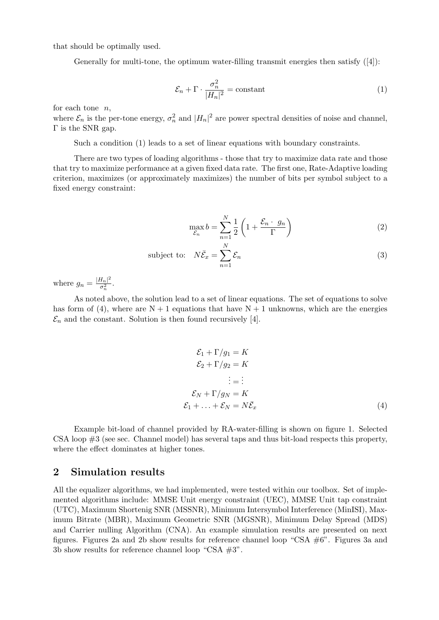that should be optimally used.

Generally for multi-tone, the optimum water-filling transmit energies then satisfy ([4]):

$$
\mathcal{E}_n + \Gamma \cdot \frac{\sigma_n^2}{|H_n|^2} = \text{constant} \tag{1}
$$

for each tone  $n$ ,

where  $\mathcal{E}_n$  is the per-tone energy,  $\sigma_n^2$  and  $|H_n|^2$  are power spectral densities of noise and channel, Γ is the SNR gap.

Such a condition (1) leads to a set of linear equations with boundary constraints.

There are two types of loading algorithms - those that try to maximize data rate and those that try to maximize performance at a given fixed data rate. The first one, Rate-Adaptive loading criterion, maximizes (or approximately maximizes) the number of bits per symbol subject to a fixed energy constraint:

$$
\max_{\mathcal{E}_n} b = \sum_{n=1}^N \frac{1}{2} \left( 1 + \frac{\mathcal{E}_n \cdot g_n}{\Gamma} \right) \tag{2}
$$

subject to: 
$$
N\bar{\mathcal{E}}_x = \sum_{n=1}^N \mathcal{E}_n
$$
 (3)

where  $g_n = \frac{|H_n|^2}{\sigma^2}$  $\frac{1_n|_-}{\sigma_n^2}$ .

As noted above, the solution lead to a set of linear equations. The set of equations to solve has form of (4), where are  $N + 1$  equations that have  $N + 1$  unknowns, which are the energies  $\mathcal{E}_n$  and the constant. Solution is then found recursively [4].

$$
\mathcal{E}_1 + \Gamma/g_1 = K
$$
  
\n
$$
\mathcal{E}_2 + \Gamma/g_2 = K
$$
  
\n
$$
\vdots = \vdots
$$
  
\n
$$
\mathcal{E}_N + \Gamma/g_N = K
$$
  
\n
$$
\mathcal{E}_1 + \dots + \mathcal{E}_N = N\bar{\mathcal{E}}_x
$$
\n(4)

Example bit-load of channel provided by RA-water-filling is shown on figure 1. Selected CSA loop #3 (see sec. Channel model) has several taps and thus bit-load respects this property, where the effect dominates at higher tones.

#### 2 Simulation results

All the equalizer algorithms, we had implemented, were tested within our toolbox. Set of implemented algorithms include: MMSE Unit energy constraint (UEC), MMSE Unit tap constraint (UTC), Maximum Shortenig SNR (MSSNR), Minimum Intersymbol Interference (MinISI), Maximum Bitrate (MBR), Maximum Geometric SNR (MGSNR), Minimum Delay Spread (MDS) and Carrier nulling Algorithm (CNA). An example simulation results are presented on next figures. Figures 2a and 2b show results for reference channel loop "CSA #6". Figures 3a and 3b show results for reference channel loop "CSA #3".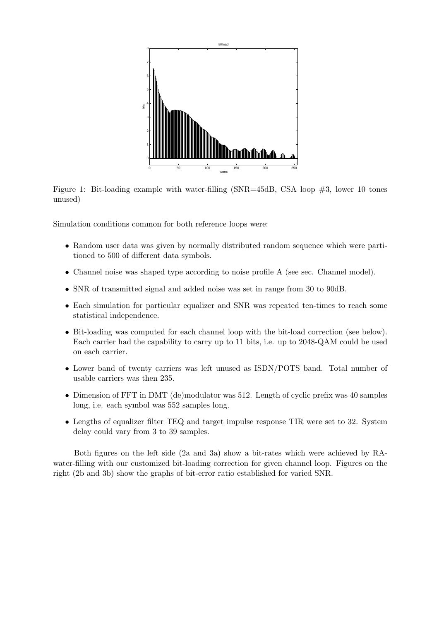

Figure 1: Bit-loading example with water-filling (SNR=45dB, CSA loop #3, lower 10 tones unused)

Simulation conditions common for both reference loops were:

- Random user data was given by normally distributed random sequence which were partitioned to 500 of different data symbols.
- Channel noise was shaped type according to noise profile A (see sec. Channel model).
- SNR of transmitted signal and added noise was set in range from 30 to 90dB.
- Each simulation for particular equalizer and SNR was repeated ten-times to reach some statistical independence.
- Bit-loading was computed for each channel loop with the bit-load correction (see below). Each carrier had the capability to carry up to 11 bits, i.e. up to 2048-QAM could be used on each carrier.
- Lower band of twenty carriers was left unused as ISDN/POTS band. Total number of usable carriers was then 235.
- Dimension of FFT in DMT (de)modulator was 512. Length of cyclic prefix was 40 samples long, i.e. each symbol was 552 samples long.
- Lengths of equalizer filter TEQ and target impulse response TIR were set to 32. System delay could vary from 3 to 39 samples.

Both figures on the left side (2a and 3a) show a bit-rates which were achieved by RAwater-filling with our customized bit-loading correction for given channel loop. Figures on the right (2b and 3b) show the graphs of bit-error ratio established for varied SNR.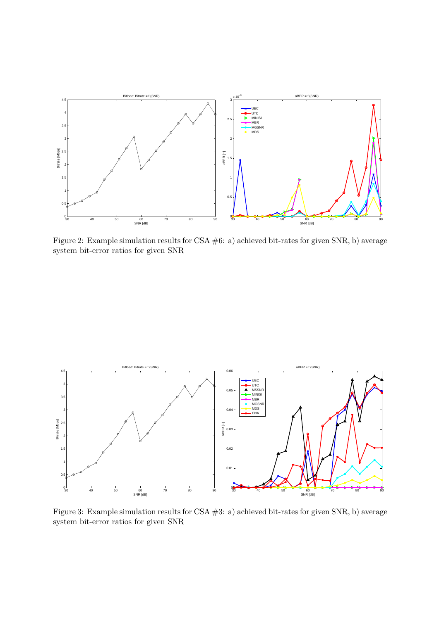

Figure 2: Example simulation results for CSA #6: a) achieved bit-rates for given SNR, b) average system bit-error ratios for given SNR



Figure 3: Example simulation results for CSA #3: a) achieved bit-rates for given SNR, b) average system bit-error ratios for given SNR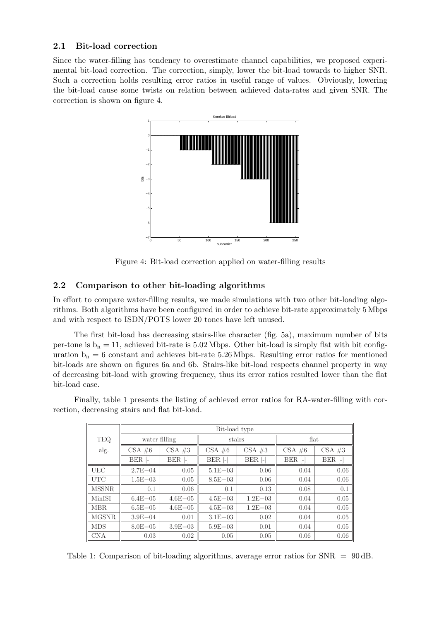#### 2.1 Bit-load correction

Since the water-filling has tendency to overestimate channel capabilities, we proposed experimental bit-load correction. The correction, simply, lower the bit-load towards to higher SNR. Such a correction holds resulting error ratios in useful range of values. Obviously, lowering the bit-load cause some twists on relation between achieved data-rates and given SNR. The correction is shown on figure 4.



Figure 4: Bit-load correction applied on water-filling results

#### 2.2 Comparison to other bit-loading algorithms

In effort to compare water-filling results, we made simulations with two other bit-loading algorithms. Both algorithms have been configured in order to achieve bit-rate approximately 5 Mbps and with respect to ISDN/POTS lower 20 tones have left unused.

The first bit-load has decreasing stairs-like character (fig. 5a), maximum number of bits per-tone is  $b_n = 11$ , achieved bit-rate is 5.02 Mbps. Other bit-load is simply flat with bit configuration  $b_n = 6$  constant and achieves bit-rate 5.26 Mbps. Resulting error ratios for mentioned bit-loads are shown on figures 6a and 6b. Stairs-like bit-load respects channel property in way of decreasing bit-load with growing frequency, thus its error ratios resulted lower than the flat bit-load case.

|              | Bit-load type           |              |              |                    |                       |           |
|--------------|-------------------------|--------------|--------------|--------------------|-----------------------|-----------|
| <b>TEQ</b>   | water-filling           |              | stairs       |                    | $\operatorname{flat}$ |           |
| alg.         | $CSA \neq 6$            | $CSA \neq 3$ | $CSA \neq 6$ | $CSA \neq 3$       | $CSA \#6$             | $CSA \#3$ |
|              | $BER$ $\lceil - \rceil$ | $BER$ [-]    | $BER$ [-]    | BER <sup>[-]</sup> | $BER$ [-]             | BER [-]   |
| <b>UEC</b>   | $2.7E - 04$             | 0.05         | $5.1E - 03$  | 0.06               | 0.04                  | 0.06      |
| <b>UTC</b>   | $1.5E - 03$             | 0.05         | $8.5E - 03$  | 0.06               | 0.04                  | 0.06      |
| <b>MSSNR</b> | 0.1                     | 0.06         | 0.1          | 0.13               | 0.08                  | 0.1       |
| MinISI       | $6.4E - 05$             | $4.6E - 05$  | $4.5E - 03$  | $1.2E - 03$        | 0.04                  | 0.05      |
| MBR.         | $6.5E - 0.5$            | $4.6E - 05$  | $4.5E - 03$  | $1.2E - 03$        | 0.04                  | 0.05      |
| <b>MGSNR</b> | $3.9E - 04$             | 0.01         | $3.1E - 03$  | 0.02               | 0.04                  | 0.05      |
| <b>MDS</b>   | $8.0E - 05$             | $3.9E - 03$  | $5.9E - 03$  | 0.01               | 0.04                  | 0.05      |
| <b>CNA</b>   | 0.03                    | 0.02         | 0.05         | 0.05               | 0.06                  | 0.06      |

Finally, table 1 presents the listing of achieved error ratios for RA-water-filling with correction, decreasing stairs and flat bit-load.

Table 1: Comparison of bit-loading algorithms, average error ratios for SNR = 90 dB.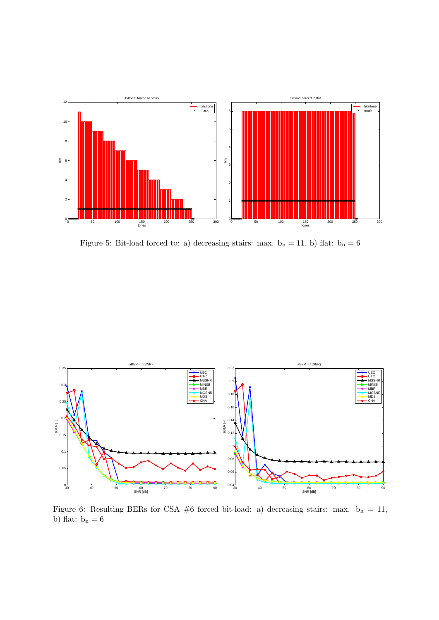

Figure 5: Bit-load forced to: a) decreasing stairs: max.  $\mathbf{b}_n = 11,$  b) flat:  $\mathbf{b}_n = 6$ 



Figure 6: Resulting BERs for CSA #6 forced bit-load: a) decreasing stairs: max.  $b_n = 11$ , b) flat:  $\mathbf{b}_n = 6$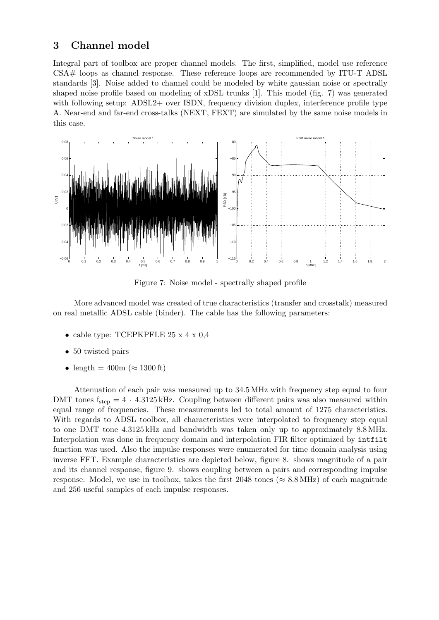### 3 Channel model

Integral part of toolbox are proper channel models. The first, simplified, model use reference CSA# loops as channel response. These reference loops are recommended by ITU-T ADSL standards [3]. Noise added to channel could be modeled by white gaussian noise or spectrally shaped noise profile based on modeling of xDSL trunks [1]. This model (fig. 7) was generated with following setup: ADSL2+ over ISDN, frequency division duplex, interference profile type A. Near-end and far-end cross-talks (NEXT, FEXT) are simulated by the same noise models in this case.



Figure 7: Noise model - spectrally shaped profile

More advanced model was created of true characteristics (transfer and crosstalk) measured on real metallic ADSL cable (binder). The cable has the following parameters:

- cable type: TCEPKPFLE  $25 \times 4 \times 0.4$
- 50 twisted pairs
- length =  $400m \approx 1300 \text{ ft}$

Attenuation of each pair was measured up to 34.5 MHz with frequency step equal to four DMT tones  $f_{\text{step}} = 4 \cdot 4.3125 \text{ kHz}$ . Coupling between different pairs was also measured within equal range of frequencies. These measurements led to total amount of 1275 characteristics. With regards to ADSL toolbox, all characteristics were interpolated to frequency step equal to one DMT tone 4.3125 kHz and bandwidth was taken only up to approximately 8.8 MHz. Interpolation was done in frequency domain and interpolation FIR filter optimized by intfilt function was used. Also the impulse responses were enumerated for time domain analysis using inverse FFT. Example characteristics are depicted below, figure 8. shows magnitude of a pair and its channel response, figure 9. shows coupling between a pairs and corresponding impulse response. Model, we use in toolbox, takes the first 2048 tones ( $\approx 8.8 \text{ MHz}$ ) of each magnitude and 256 useful samples of each impulse responses.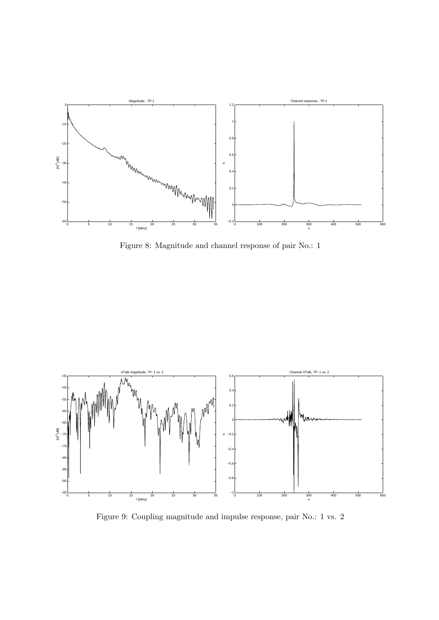

Figure 8: Magnitude and channel response of pair No.: 1



Figure 9: Coupling magnitude and impulse response, pair No.: 1 vs. 2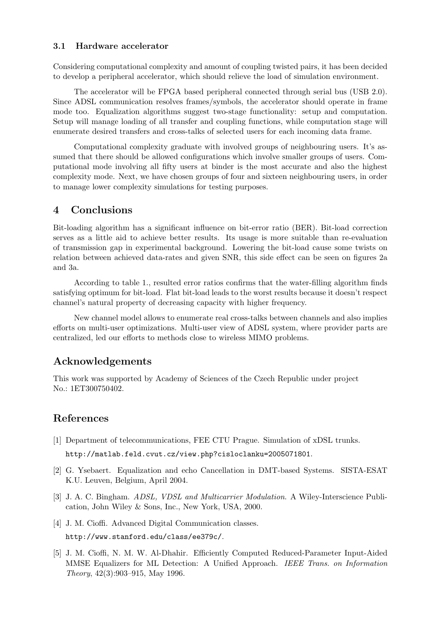#### 3.1 Hardware accelerator

Considering computational complexity and amount of coupling twisted pairs, it has been decided to develop a peripheral accelerator, which should relieve the load of simulation environment.

The accelerator will be FPGA based peripheral connected through serial bus (USB 2.0). Since ADSL communication resolves frames/symbols, the accelerator should operate in frame mode too. Equalization algorithms suggest two-stage functionality: setup and computation. Setup will manage loading of all transfer and coupling functions, while computation stage will enumerate desired transfers and cross-talks of selected users for each incoming data frame.

Computational complexity graduate with involved groups of neighbouring users. It's assumed that there should be allowed configurations which involve smaller groups of users. Computational mode involving all fifty users at binder is the most accurate and also the highest complexity mode. Next, we have chosen groups of four and sixteen neighbouring users, in order to manage lower complexity simulations for testing purposes.

## 4 Conclusions

Bit-loading algorithm has a significant influence on bit-error ratio (BER). Bit-load correction serves as a little aid to achieve better results. Its usage is more suitable than re-evaluation of transmission gap in experimental background. Lowering the bit-load cause some twists on relation between achieved data-rates and given SNR, this side effect can be seen on figures 2a and 3a.

According to table 1., resulted error ratios confirms that the water-filling algorithm finds satisfying optimum for bit-load. Flat bit-load leads to the worst results because it doesn't respect channel's natural property of decreasing capacity with higher frequency.

New channel model allows to enumerate real cross-talks between channels and also implies efforts on multi-user optimizations. Multi-user view of ADSL system, where provider parts are centralized, led our efforts to methods close to wireless MIMO problems.

# Acknowledgements

This work was supported by Academy of Sciences of the Czech Republic under project No.: 1ET300750402.

# References

- [1] Department of telecommunications, FEE CTU Prague. Simulation of xDSL trunks. http://matlab.feld.cvut.cz/view.php?cisloclanku=2005071801.
- [2] G. Ysebaert. Equalization and echo Cancellation in DMT-based Systems. SISTA-ESAT K.U. Leuven, Belgium, April 2004.
- [3] J. A. C. Bingham. *ADSL, VDSL and Multicarrier Modulation*. A Wiley-Interscience Publication, John Wiley & Sons, Inc., New York, USA, 2000.
- [4] J. M. Cioffi. Advanced Digital Communication classes. http://www.stanford.edu/class/ee379c/.
- [5] J. M. Cioffi, N. M. W. Al-Dhahir. Efficiently Computed Reduced-Parameter Input-Aided MMSE Equalizers for ML Detection: A Unified Approach. IEEE Trans. on Information Theory, 42(3):903–915, May 1996.